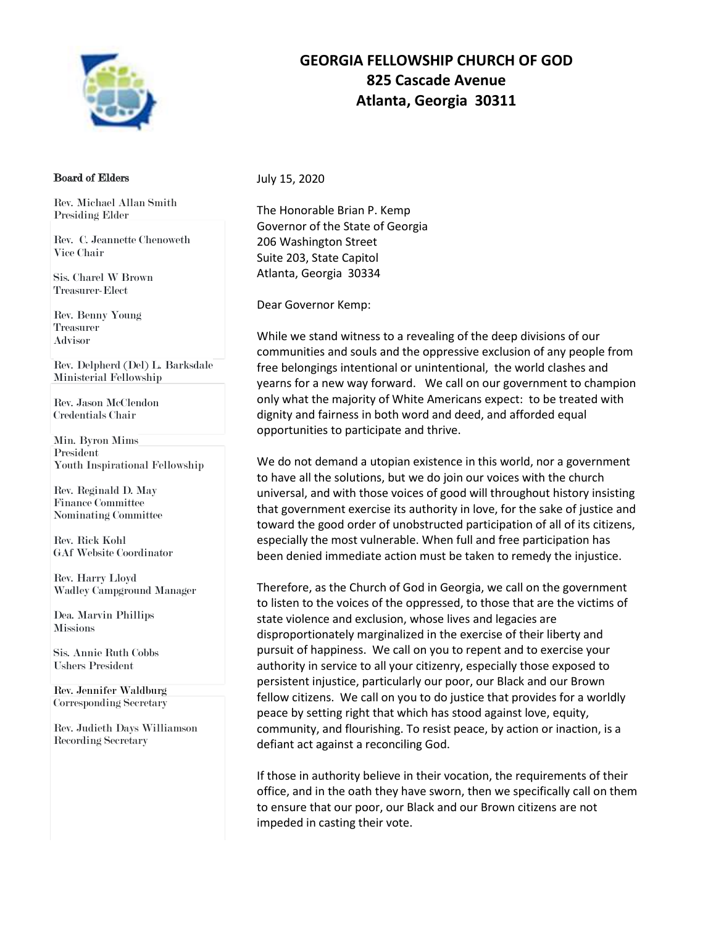

## Board of Elders

Rev. Michael Allan Smith Presiding Elder

Rev. C. Jeannette Chenoweth Vice Chair

Sis. Charel W Brown Treasurer-Elect

Rev. Benny Young Treasurer Advisor

Rev. Delpherd (Del) L. Barksdale Ministerial Fellowship

Rev. Jason McClendon Credentials Chair

Min. Byron Mims President Youth Inspirational Fellowship

Rev. Reginald D. May Finance Committee Nominating Committee

Rev. Rick Kohl GAf Website Coordinator

Rev. Harry Lloyd Wadley Campground Manager

Dea. Marvin Phillips **Missions** 

Sis. Annie Ruth Cobbs Ushers President

Rev. Jennifer Waldburg Corresponding Secretary

Rev. Judieth Days Williamson Recording Secretary

## **GEORGIA FELLOWSHIP CHURCH OF GOD 825 Cascade Avenue Atlanta, Georgia 30311**

July 15, 2020

The Honorable Brian P. Kemp Governor of the State of Georgia 206 Washington Street Suite 203, State Capitol Atlanta, Georgia 30334

Dear Governor Kemp:

While we stand witness to a revealing of the deep divisions of our communities and souls and the oppressive exclusion of any people from free belongings intentional or unintentional, the world clashes and yearns for a new way forward. We call on our government to champion only what the majority of White Americans expect: to be treated with dignity and fairness in both word and deed, and afforded equal opportunities to participate and thrive.

We do not demand a utopian existence in this world, nor a government to have all the solutions, but we do join our voices with the church universal, and with those voices of good will throughout history insisting that government exercise its authority in love, for the sake of justice and toward the good order of unobstructed participation of all of its citizens, especially the most vulnerable. When full and free participation has been denied immediate action must be taken to remedy the injustice.

Therefore, as the Church of God in Georgia, we call on the government to listen to the voices of the oppressed, to those that are the victims of state violence and exclusion, whose lives and legacies are disproportionately marginalized in the exercise of their liberty and pursuit of happiness. We call on you to repent and to exercise your authority in service to all your citizenry, especially those exposed to persistent injustice, particularly our poor, our Black and our Brown fellow citizens. We call on you to do justice that provides for a worldly peace by setting right that which has stood against love, equity, community, and flourishing. To resist peace, by action or inaction, is a defiant act against a reconciling God.

If those in authority believe in their vocation, the requirements of their office, and in the oath they have sworn, then we specifically call on them to ensure that our poor, our Black and our Brown citizens are not impeded in casting their vote.